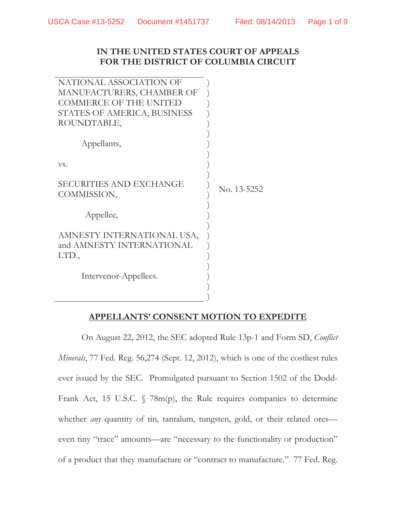## **IN THE UNITED STATES COURT OF APPEALS FOR THE DISTRICT OF COLUMBIA CIRCUIT**

| NATIONAL ASSOCIATION OF       |             |
|-------------------------------|-------------|
| MANUFACTURERS, CHAMBER OF     |             |
| <b>COMMERCE OF THE UNITED</b> |             |
| STATES OF AMERICA, BUSINESS   |             |
| ROUNDTABLE,                   |             |
| Appellants,                   |             |
| VS.                           |             |
|                               |             |
| SECURITIES AND EXCHANGE       | No. 13-5252 |
| COMMISSION,                   |             |
|                               |             |
| Appellee,                     |             |
|                               |             |
| AMNESTY INTERNATIONAL USA,    |             |
| and AMNESTY INTERNATIONAL     |             |
| LTD.,                         |             |
|                               |             |
| Intervenor-Appellees.         |             |
|                               |             |
|                               |             |

## **APPELLANTS' CONSENT MOTION TO EXPEDITE**

 On August 22, 2012, the SEC adopted Rule 13p-1 and Form SD, *Conflict Minerals*, 77 Fed. Reg. 56,274 (Sept. 12, 2012), which is one of the costliest rules ever issued by the SEC. Promulgated pursuant to Section 1502 of the Dodd-Frank Act, 15 U.S.C. § 78m(p), the Rule requires companies to determine whether *any* quantity of tin, tantalum, tungsten, gold, or their related ores even tiny "trace" amounts—are "necessary to the functionality or production" of a product that they manufacture or "contract to manufacture." 77 Fed. Reg.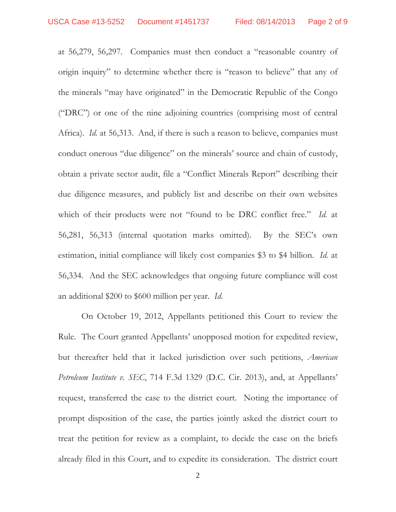at 56,279, 56,297. Companies must then conduct a "reasonable country of origin inquiry" to determine whether there is "reason to believe" that any of the minerals "may have originated" in the Democratic Republic of the Congo ("DRC") or one of the nine adjoining countries (comprising most of central Africa). *Id.* at 56,313. And, if there is such a reason to believe, companies must conduct onerous "due diligence" on the minerals' source and chain of custody, obtain a private sector audit, file a "Conflict Minerals Report" describing their due diligence measures, and publicly list and describe on their own websites which of their products were not "found to be DRC conflict free." *Id.* at 56,281, 56,313 (internal quotation marks omitted). By the SEC's own estimation, initial compliance will likely cost companies \$3 to \$4 billion. *Id.* at 56,334. And the SEC acknowledges that ongoing future compliance will cost an additional \$200 to \$600 million per year. *Id.*

On October 19, 2012, Appellants petitioned this Court to review the Rule. The Court granted Appellants' unopposed motion for expedited review, but thereafter held that it lacked jurisdiction over such petitions, *American Petroleum Institute v. SEC*, 714 F.3d 1329 (D.C. Cir. 2013), and, at Appellants' request, transferred the case to the district court. Noting the importance of prompt disposition of the case, the parties jointly asked the district court to treat the petition for review as a complaint, to decide the case on the briefs already filed in this Court, and to expedite its consideration. The district court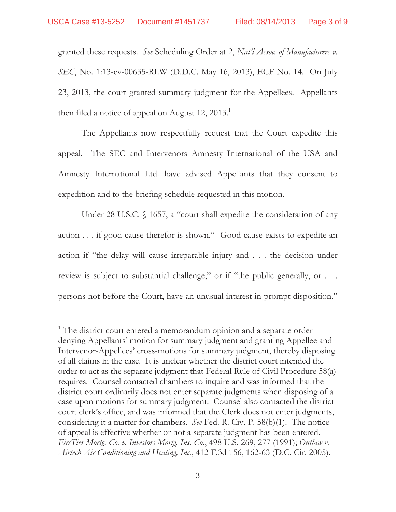granted these requests. *See* Scheduling Order at 2, *Nat'l Assoc. of Manufacturers v. SEC*, No. 1:13-cv-00635-RLW (D.D.C. May 16, 2013), ECF No. 14. On July 23, 2013, the court granted summary judgment for the Appellees. Appellants then filed a notice of appeal on August 12,  $2013.<sup>1</sup>$ 

The Appellants now respectfully request that the Court expedite this appeal. The SEC and Intervenors Amnesty International of the USA and Amnesty International Ltd. have advised Appellants that they consent to expedition and to the briefing schedule requested in this motion.

Under 28 U.S.C. § 1657, a "court shall expedite the consideration of any action . . . if good cause therefor is shown." Good cause exists to expedite an action if "the delay will cause irreparable injury and . . . the decision under review is subject to substantial challenge," or if "the public generally, or . . . persons not before the Court, have an unusual interest in prompt disposition."

<sup>&</sup>lt;sup>1</sup> The district court entered a memorandum opinion and a separate order denying Appellants' motion for summary judgment and granting Appellee and Intervenor-Appellees' cross-motions for summary judgment, thereby disposing of all claims in the case. It is unclear whether the district court intended the order to act as the separate judgment that Federal Rule of Civil Procedure 58(a) requires. Counsel contacted chambers to inquire and was informed that the district court ordinarily does not enter separate judgments when disposing of a case upon motions for summary judgment. Counsel also contacted the district court clerk's office, and was informed that the Clerk does not enter judgments, considering it a matter for chambers. *See* Fed. R. Civ. P. 58(b)(1). The notice of appeal is effective whether or not a separate judgment has been entered. *FirsTier Mortg. Co. v. Investors Mortg. Ins. Co.*, 498 U.S. 269, 277 (1991); *Outlaw v. Airtech Air Conditioning and Heating, Inc.*, 412 F.3d 156, 162-63 (D.C. Cir. 2005).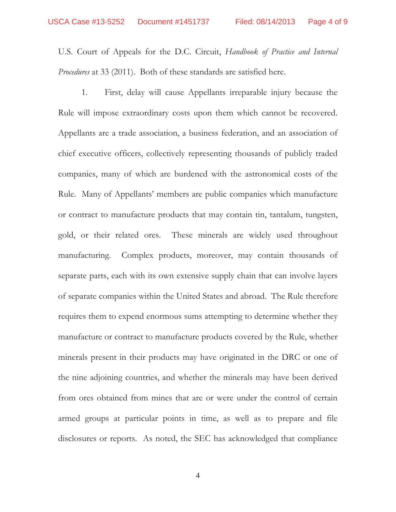U.S. Court of Appeals for the D.C. Circuit, *Handbook of Practice and Internal Procedures* at 33 (2011). Both of these standards are satisfied here.

 1. First, delay will cause Appellants irreparable injury because the Rule will impose extraordinary costs upon them which cannot be recovered. Appellants are a trade association, a business federation, and an association of chief executive officers, collectively representing thousands of publicly traded companies, many of which are burdened with the astronomical costs of the Rule. Many of Appellants' members are public companies which manufacture or contract to manufacture products that may contain tin, tantalum, tungsten, gold, or their related ores. These minerals are widely used throughout manufacturing. Complex products, moreover, may contain thousands of separate parts, each with its own extensive supply chain that can involve layers of separate companies within the United States and abroad. The Rule therefore requires them to expend enormous sums attempting to determine whether they manufacture or contract to manufacture products covered by the Rule, whether minerals present in their products may have originated in the DRC or one of the nine adjoining countries, and whether the minerals may have been derived from ores obtained from mines that are or were under the control of certain armed groups at particular points in time, as well as to prepare and file disclosures or reports. As noted, the SEC has acknowledged that compliance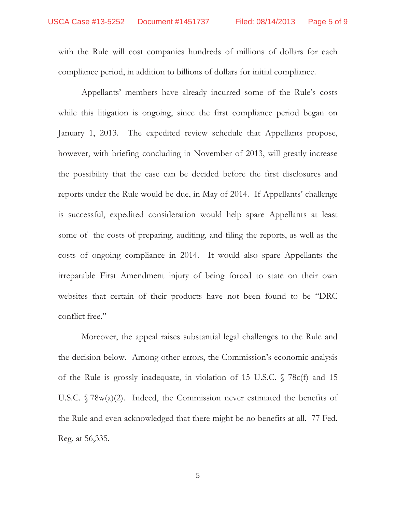with the Rule will cost companies hundreds of millions of dollars for each compliance period, in addition to billions of dollars for initial compliance.

 Appellants' members have already incurred some of the Rule's costs while this litigation is ongoing, since the first compliance period began on January 1, 2013. The expedited review schedule that Appellants propose, however, with briefing concluding in November of 2013, will greatly increase the possibility that the case can be decided before the first disclosures and reports under the Rule would be due, in May of 2014. If Appellants' challenge is successful, expedited consideration would help spare Appellants at least some of the costs of preparing, auditing, and filing the reports, as well as the costs of ongoing compliance in 2014. It would also spare Appellants the irreparable First Amendment injury of being forced to state on their own websites that certain of their products have not been found to be "DRC conflict free."

 Moreover, the appeal raises substantial legal challenges to the Rule and the decision below. Among other errors, the Commission's economic analysis of the Rule is grossly inadequate, in violation of 15 U.S.C. § 78c(f) and 15 U.S.C. § 78w(a)(2). Indeed, the Commission never estimated the benefits of the Rule and even acknowledged that there might be no benefits at all. 77 Fed. Reg. at 56,335.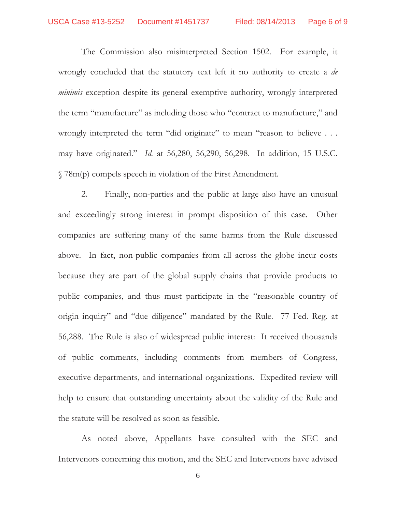The Commission also misinterpreted Section 1502. For example, it wrongly concluded that the statutory text left it no authority to create a *de minimis* exception despite its general exemptive authority, wrongly interpreted the term "manufacture" as including those who "contract to manufacture," and wrongly interpreted the term "did originate" to mean "reason to believe . . . may have originated." *Id.* at 56,280, 56,290, 56,298. In addition, 15 U.S.C. § 78m(p) compels speech in violation of the First Amendment.

 2. Finally, non-parties and the public at large also have an unusual and exceedingly strong interest in prompt disposition of this case. Other companies are suffering many of the same harms from the Rule discussed above. In fact, non-public companies from all across the globe incur costs because they are part of the global supply chains that provide products to public companies, and thus must participate in the "reasonable country of origin inquiry" and "due diligence" mandated by the Rule. 77 Fed. Reg. at 56,288. The Rule is also of widespread public interest: It received thousands of public comments, including comments from members of Congress, executive departments, and international organizations. Expedited review will help to ensure that outstanding uncertainty about the validity of the Rule and the statute will be resolved as soon as feasible.

 As noted above, Appellants have consulted with the SEC and Intervenors concerning this motion, and the SEC and Intervenors have advised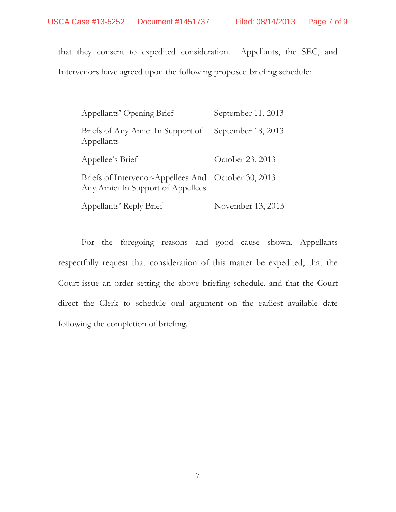that they consent to expedited consideration. Appellants, the SEC, and

Intervenors have agreed upon the following proposed briefing schedule:

| Appellants' Opening Brief                                                                | September 11, 2013 |
|------------------------------------------------------------------------------------------|--------------------|
| Briefs of Any Amici In Support of<br>Appellants                                          | September 18, 2013 |
| Appellee's Brief                                                                         | October 23, 2013   |
| Briefs of Intervenor-Appellees And October 30, 2013<br>Any Amici In Support of Appellees |                    |
| Appellants' Reply Brief                                                                  | November 13, 2013  |

For the foregoing reasons and good cause shown, Appellants respectfully request that consideration of this matter be expedited, that the Court issue an order setting the above briefing schedule, and that the Court direct the Clerk to schedule oral argument on the earliest available date following the completion of briefing.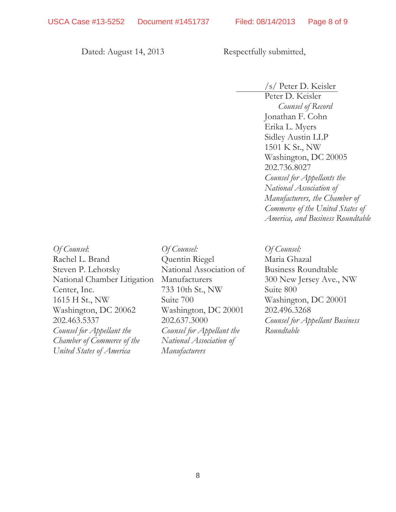Dated: August 14, 2013 Respectfully submitted,

/s/ Peter D. Keisler Peter D. Keisler *Counsel of Record*  Jonathan F. Cohn Erika L. Myers Sidley Austin LLP 1501 K St., NW Washington, DC 20005 202.736.8027 *Counsel for Appellants the National Association of Manufacturers, the Chamber of Commerce of the United States of America, and Business Roundtable* 

*Of Counsel*: Rachel L. Brand Steven P. Lehotsky National Chamber Litigation Center, Inc. 1615 H St., NW Washington, DC 20062 202.463.5337 *Counsel for Appellant the Chamber of Commerce of the United States of America* 

*Of Counsel:*  Quentin Riegel National Association of Manufacturers 733 10th St., NW Suite 700 Washington, DC 20001 202.637.3000 *Counsel for Appellant the National Association of Manufacturers* 

*Of Counsel:*  Maria Ghazal Business Roundtable 300 New Jersey Ave., NW Suite 800 Washington, DC 20001 202.496.3268 *Counsel for Appellant Business Roundtable*